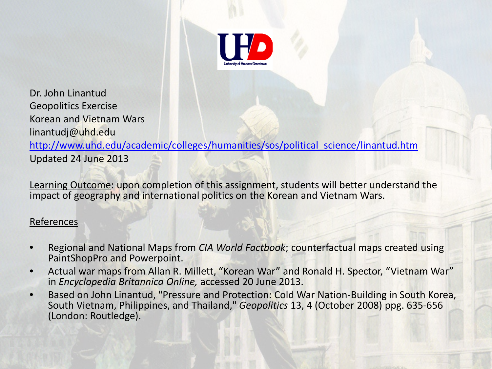

Dr. John Linantud Geopolitics Exercise Korean and Vietnam Wars linantudj@uhd.edu http://www.uhd.edu/academic/colleges/humanities/sos/political science/linantud.htm Updated 24 June 2013

Learning Outcome: upon completion of this assignment, students will better understand the impact of geography and international politics on the Korean and Vietnam Wars.

## References

- Regional and National Maps from *CIA World Factbook*; counterfactual maps created using PaintShopPro and Powerpoint.
- Actual war maps from Allan R. Millett, "Korean War" and Ronald H. Spector, "Vietnam War" in *Encyclopedia Britannica Online,* accessed 20 June 2013.
- Based on John Linantud, "Pressure and Protection: Cold War Nation-Building in South Korea, South Vietnam, Philippines, and Thailand," *Geopolitics* 13, 4 (October 2008) ppg. 635-656 (London: Routledge).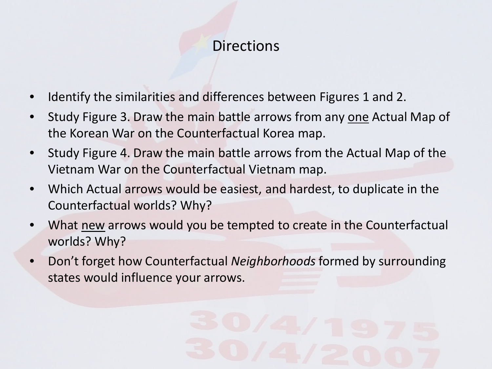# **Directions**

- Identify the similarities and differences between Figures 1 and 2.
- Study Figure 3. Draw the main battle arrows from any one Actual Map of the Korean War on the Counterfactual Korea map.
- Study Figure 4. Draw the main battle arrows from the Actual Map of the Vietnam War on the Counterfactual Vietnam map.
- Which Actual arrows would be easiest, and hardest, to duplicate in the Counterfactual worlds? Why?
- What new arrows would you be tempted to create in the Counterfactual worlds? Why?
- Don't forget how Counterfactual *Neighborhoods* formed by surrounding states would influence your arrows.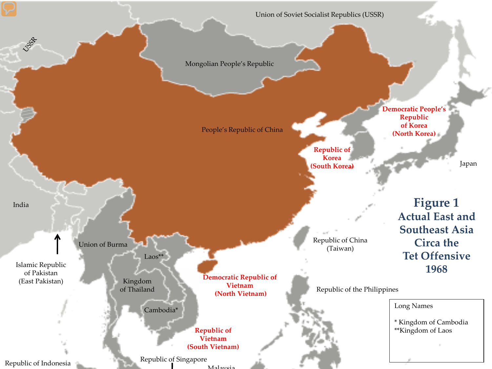Union of Soviet Socialist Republics (USSR)

**Republic of Korea (South Korea)**

Republic of China (Taiwan)

Mongolian People's Republic

People's Republic of China

**Democratic People's Republic of Korea (North Korea)**

Japan

**Figure 1 Actual East and Southeast Asia Circa the Tet Offensive 1968**

Islamic Republic of Pakistan (East Pakistan)

India

**SSSR** 

Union of Burma

Kingdom of Thailand

Laos\*\*

**Democratic Republic of Vietnam (North Vietnam)**

**Republic of Vietnam (South Vietnam)**

Malaysia Republic of Indonesia Republic of Singapore

Republic of the Philippines

Cambodia\* Long Names

\* Kingdom of Cambodia \*\*Kingdom of Laos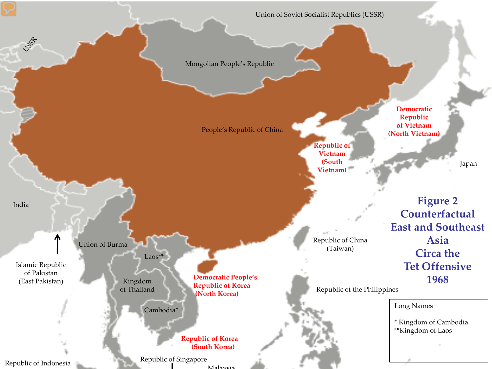Union of Soviet Socialist Republics (USSR)

Mongolian People's Republic

People's Republic of China

**Republic of Vietnam (South Vietnam)**

**Democratic Republic of Vietnam (North Vietnam)**

Japan

**Figure 2 Counterfactual East and Southeast Asia Circa the Tet Offensive 1968**

Republic of China (Taiwan)

Islamic Republic of Pakistan (East Pakistan)

India

**SSSR** 

Union of Burma

Kingdom of Thailand

Laos\*\*

**Democratic People's Republic of Korea (North Korea)**

**Republic of Korea (South Korea)**

Republic of Indonesia Republic of Singapore

Malaysia

Republic of the Philippines

Cambodia\* Long Names

\* Kingdom of Cambodia \*\*Kingdom of Laos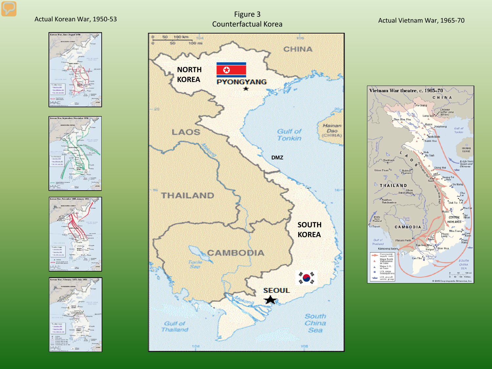